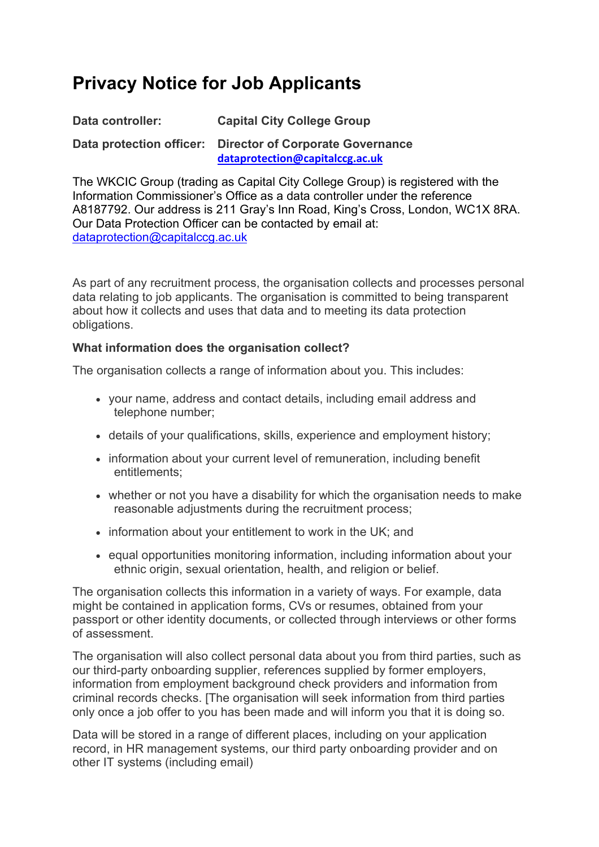# **Privacy Notice for Job Applicants**

| Data controller:         | <b>Capital City College Group</b>                                          |
|--------------------------|----------------------------------------------------------------------------|
| Data protection officer: | <b>Director of Corporate Governance</b><br>dataprotection@capitalccg.ac.uk |

The WKCIC Group (trading as Capital City College Group) is registered with the Information Commissioner's Office as a data controller under the reference A8187792. Our address is 211 Gray's Inn Road, King's Cross, London, WC1X 8RA. Our Data Protection Officer can be contacted by email at: dataprotection@capitalccg.ac.uk

As part of any recruitment process, the organisation collects and processes personal data relating to job applicants. The organisation is committed to being transparent about how it collects and uses that data and to meeting its data protection obligations.

#### **What information does the organisation collect?**

The organisation collects a range of information about you. This includes:

- your name, address and contact details, including email address and telephone number;
- details of your qualifications, skills, experience and employment history;
- information about your current level of remuneration, including benefit entitlements;
- whether or not you have a disability for which the organisation needs to make reasonable adjustments during the recruitment process;
- information about your entitlement to work in the UK; and
- equal opportunities monitoring information, including information about your ethnic origin, sexual orientation, health, and religion or belief.

The organisation collects this information in a variety of ways. For example, data might be contained in application forms, CVs or resumes, obtained from your passport or other identity documents, or collected through interviews or other forms of assessment.

The organisation will also collect personal data about you from third parties, such as our third-party onboarding supplier, references supplied by former employers, information from employment background check providers and information from criminal records checks. [The organisation will seek information from third parties only once a job offer to you has been made and will inform you that it is doing so.

Data will be stored in a range of different places, including on your application record, in HR management systems, our third party onboarding provider and on other IT systems (including email)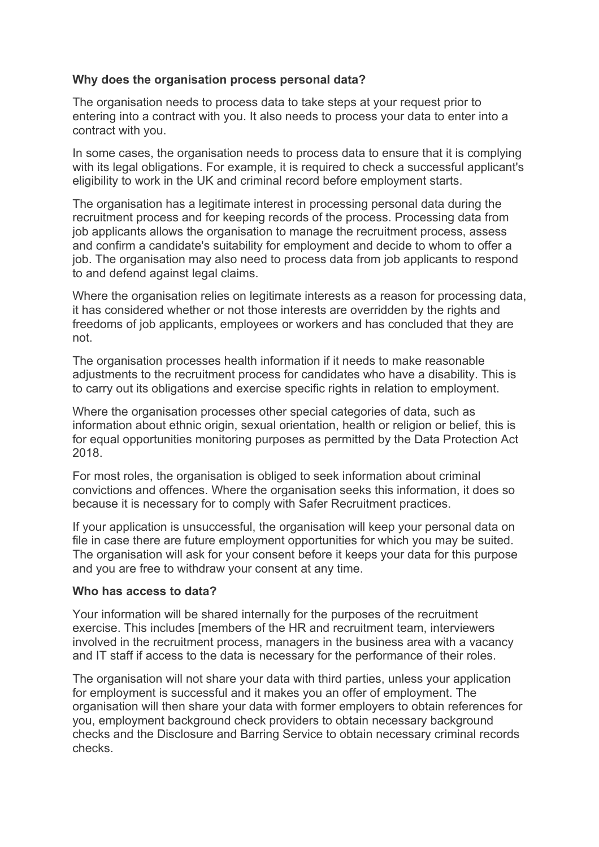#### **Why does the organisation process personal data?**

The organisation needs to process data to take steps at your request prior to entering into a contract with you. It also needs to process your data to enter into a contract with you.

In some cases, the organisation needs to process data to ensure that it is complying with its legal obligations. For example, it is required to check a successful applicant's eligibility to work in the UK and criminal record before employment starts.

The organisation has a legitimate interest in processing personal data during the recruitment process and for keeping records of the process. Processing data from job applicants allows the organisation to manage the recruitment process, assess and confirm a candidate's suitability for employment and decide to whom to offer a job. The organisation may also need to process data from job applicants to respond to and defend against legal claims.

Where the organisation relies on legitimate interests as a reason for processing data, it has considered whether or not those interests are overridden by the rights and freedoms of job applicants, employees or workers and has concluded that they are not.

The organisation processes health information if it needs to make reasonable adjustments to the recruitment process for candidates who have a disability. This is to carry out its obligations and exercise specific rights in relation to employment.

Where the organisation processes other special categories of data, such as information about ethnic origin, sexual orientation, health or religion or belief, this is for equal opportunities monitoring purposes as permitted by the Data Protection Act 2018.

For most roles, the organisation is obliged to seek information about criminal convictions and offences. Where the organisation seeks this information, it does so because it is necessary for to comply with Safer Recruitment practices.

If your application is unsuccessful, the organisation will keep your personal data on file in case there are future employment opportunities for which you may be suited. The organisation will ask for your consent before it keeps your data for this purpose and you are free to withdraw your consent at any time.

#### **Who has access to data?**

Your information will be shared internally for the purposes of the recruitment exercise. This includes [members of the HR and recruitment team, interviewers involved in the recruitment process, managers in the business area with a vacancy and IT staff if access to the data is necessary for the performance of their roles.

The organisation will not share your data with third parties, unless your application for employment is successful and it makes you an offer of employment. The organisation will then share your data with former employers to obtain references for you, employment background check providers to obtain necessary background checks and the Disclosure and Barring Service to obtain necessary criminal records checks.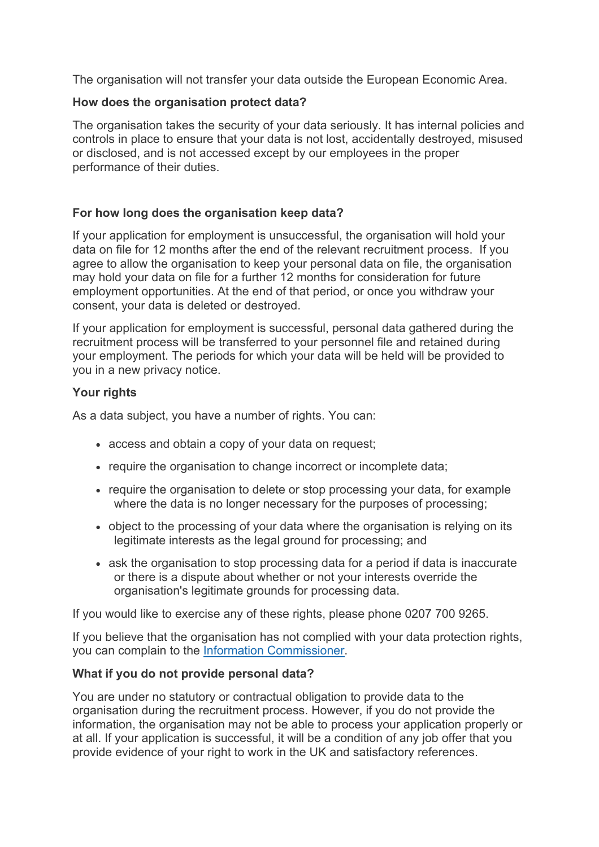The organisation will not transfer your data outside the European Economic Area.

#### **How does the organisation protect data?**

The organisation takes the security of your data seriously. It has internal policies and controls in place to ensure that your data is not lost, accidentally destroyed, misused or disclosed, and is not accessed except by our employees in the proper performance of their duties.

## **For how long does the organisation keep data?**

If your application for employment is unsuccessful, the organisation will hold your data on file for 12 months after the end of the relevant recruitment process. If you agree to allow the organisation to keep your personal data on file, the organisation may hold your data on file for a further 12 months for consideration for future employment opportunities. At the end of that period, or once you withdraw your consent, your data is deleted or destroyed.

If your application for employment is successful, personal data gathered during the recruitment process will be transferred to your personnel file and retained during your employment. The periods for which your data will be held will be provided to you in a new privacy notice.

## **Your rights**

As a data subject, you have a number of rights. You can:

- access and obtain a copy of your data on request;
- require the organisation to change incorrect or incomplete data;
- require the organisation to delete or stop processing your data, for example where the data is no longer necessary for the purposes of processing;
- object to the processing of your data where the organisation is relying on its legitimate interests as the legal ground for processing; and
- ask the organisation to stop processing data for a period if data is inaccurate or there is a dispute about whether or not your interests override the organisation's legitimate grounds for processing data.

If you would like to exercise any of these rights, please phone 0207 700 9265.

If you believe that the organisation has not complied with your data protection rights, you can complain to the Information Commissioner.

# **What if you do not provide personal data?**

You are under no statutory or contractual obligation to provide data to the organisation during the recruitment process. However, if you do not provide the information, the organisation may not be able to process your application properly or at all. If your application is successful, it will be a condition of any job offer that you provide evidence of your right to work in the UK and satisfactory references.